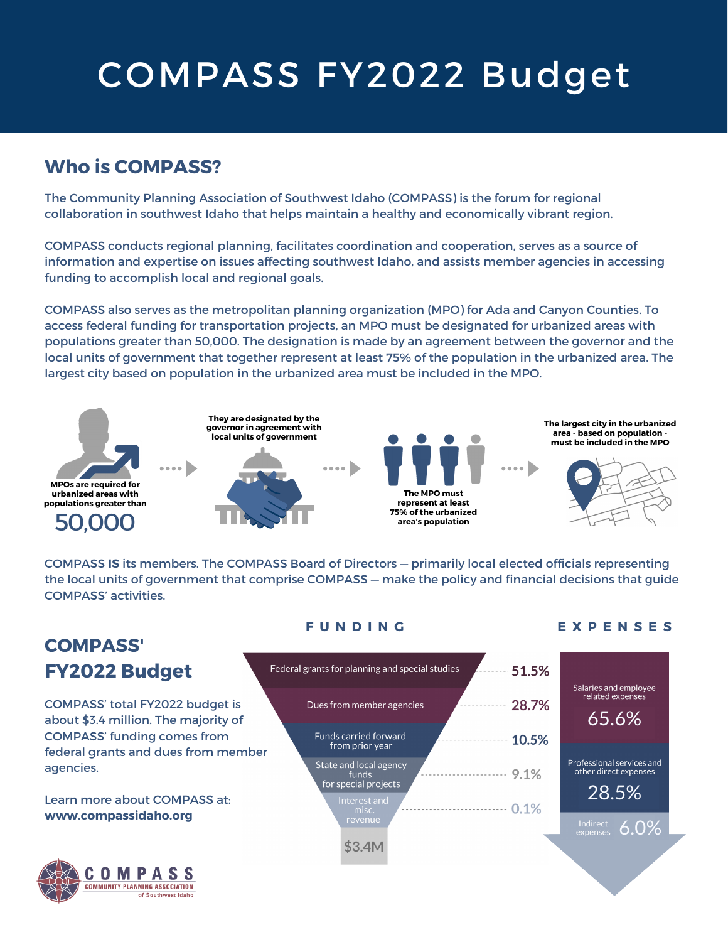# COMPASS FY2022 Budget

## **Who is COMPASS?**

The Community Planning Association of Southwest Idaho (COMPASS) is the forum for regional collaboration in southwest Idaho that helps maintain a healthy and economically vibrant region.

COMPASS conducts regional planning, facilitates coordination and cooperation, serves as a source of information and expertise on issues affecting southwest Idaho, and assists member agencies in accessing funding to accomplish local and regional goals.

COMPASS also serves as the metropolitan planning organization (MPO) for Ada and Canyon Counties. To access federal funding for transportation projects, an MPO must be designated for urbanized areas with populations greater than 50,000. The designation is made by an agreement between the governor and the local units of government that together represent at least 75% of the population in the urbanized area. The largest city based on population in the urbanized area must be included in the MPO.



COMPASS **IS** its members. The COMPASS Board of Directors — primarily local elected officials representing the local units of government that comprise COMPASS — make the policy and financial decisions that guide COMPASS' activities.

# **COMPASS' FY2022 Budget**

COMPASS' total FY2022 budget is about \$3.4 million. The majority of COMPASS' funding comes from federal grants and dues from member agencies.

### Learn more about COMPASS at: **www.compassidaho.org**



### **F U N D I N G E X P E N S E S**